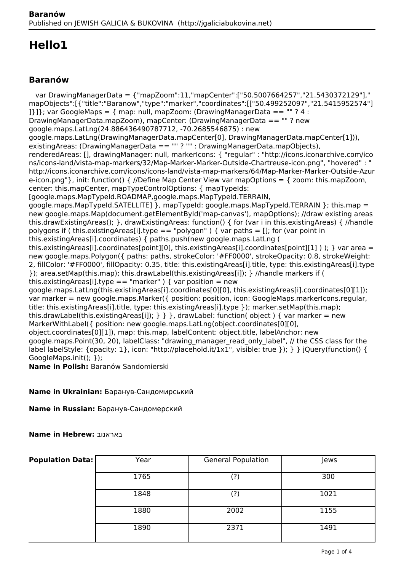# **Hello1**

## **Baranów**

 var DrawingManagerData = {"mapZoom":11,"mapCenter":["50.5007664257","21.5430372129"]," mapObjects":[{"title":"Baranow","type":"marker","coordinates":[["50.499252097","21.5415952574"] 1}1}; var GoogleMaps = { map: null, mapZoom: (DrawingManagerData ==  $\cdot$ " ? 4 : DrawingManagerData.mapZoom), mapCenter: (DrawingManagerData == "" ? new google.maps.LatLng(24.886436490787712, -70.2685546875) : new google.maps.LatLng(DrawingManagerData.mapCenter[0], DrawingManagerData.mapCenter[1])), existingAreas: (DrawingManagerData == "" ? "" : DrawingManagerData.mapObjects), renderedAreas: [], drawingManager: null, markerIcons: { "regular" : "http://icons.iconarchive.com/ico ns/icons-land/vista-map-markers/32/Map-Marker-Marker-Outside-Chartreuse-icon.png", "hovered" : " http://icons.iconarchive.com/icons/icons-land/vista-map-markers/64/Map-Marker-Marker-Outside-Azur e-icon.png"}, init: function() { //Define Map Center View var mapOptions = { zoom: this.mapZoom, center: this.mapCenter, mapTypeControlOptions: { mapTypeIds: [google.maps.MapTypeId.ROADMAP,google.maps.MapTypeId.TERRAIN, google.maps.MapTypeId.SATELLITE1 }, mapTypeId: google.maps.MapTypeId.TERRAIN }: this.map = new google.maps.Map(document.getElementById('map-canvas'), mapOptions); //draw existing areas this.drawExistingAreas(); }, drawExistingAreas: function() { for (var i in this.existingAreas) { //handle polygons if ( this.existingAreas[i].type == "polygon" ) { var paths = []; for (var point in this.existingAreas[i].coordinates) { paths.push(new google.maps.LatLng ( this.existingAreas[i].coordinates[point][0], this.existingAreas[i].coordinates[point][1] ) ); } var area = new google.maps.Polygon({ paths: paths, strokeColor: '#FF0000', strokeOpacity: 0.8, strokeWeight: 2, fillColor: '#FF0000', fillOpacity: 0.35, title: this.existingAreas[i].title, type: this.existingAreas[i].type }); area.setMap(this.map); this.drawLabel(this.existingAreas[i]); } //handle markers if ( this.existingAreas[i].type == "marker" ) { var position = new google.maps.LatLng(this.existingAreas[i].coordinates[0][0], this.existingAreas[i].coordinates[0][1]); var marker = new google.maps.Marker({ position: position, icon: GoogleMaps.markerIcons.regular, title: this.existingAreas[i].title, type: this.existingAreas[i].type }); marker.setMap(this.map); this.drawLabel(this.existingAreas[i]);  $\}$  } }, drawLabel: function( object ) { var marker = new MarkerWithLabel({ position: new google.maps.LatLng(object.coordinates[0][0], object.coordinates[0][1]), map: this.map, labelContent: object.title, labelAnchor: new google.maps.Point(30, 20), labelClass: "drawing\_manager\_read\_only\_label", // the CSS class for the label labelStyle: {opacity: 1}, icon: "http://placehold.it/1x1", visible: true }); } } jQuery(function() { GoogleMaps.init(); }); **Name in Polish:** Baranów Sandomierski

**Name in Ukrainian:** Баранув-Сандомирський

**Name in Russian:** Баранув-Сандомерский

**Name in Hebrew:** באראנוב

| <b>Population Data:</b> | Year | <b>General Population</b> | Jews |
|-------------------------|------|---------------------------|------|
|                         | 1765 | (?)                       | 300  |
|                         | 1848 | (?)                       | 1021 |
|                         | 1880 | 2002                      | 1155 |
|                         | 1890 | 2371                      | 1491 |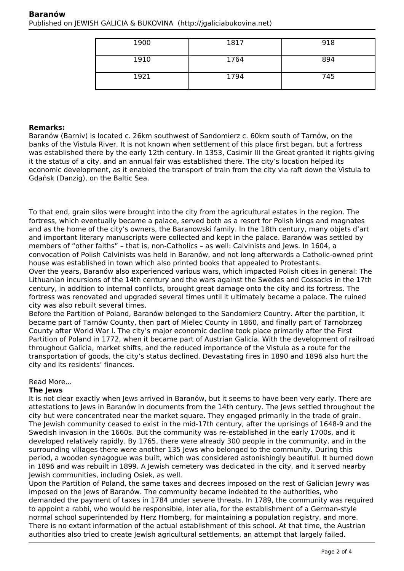| 1900 | 1817 | 918 |
|------|------|-----|
| 1910 | 1764 | 894 |
| 1921 | 1794 | 745 |

#### **Remarks:**

Baranów (Barniv) is located c. 26km southwest of Sandomierz c. 60km south of Tarnów, on the banks of the Vistula River. It is not known when settlement of this place first began, but a fortress was established there by the early 12th century. In 1353, Casimir III the Great granted it rights giving it the status of a city, and an annual fair was established there. The city's location helped its economic development, as it enabled the transport of train from the city via raft down the Vistula to Gdańsk (Danzig), on the Baltic Sea.

To that end, grain silos were brought into the city from the agricultural estates in the region. The fortress, which eventually became a palace, served both as a resort for Polish kings and magnates and as the home of the city's owners, the Baranowski family. In the 18th century, many objets d'art and important literary manuscripts were collected and kept in the palace. Baranów was settled by members of "other faiths" – that is, non-Catholics – as well: Calvinists and Jews. In 1604, a convocation of Polish Calvinists was held in Baranów, and not long afterwards a Catholic-owned print house was established in town which also printed books that appealed to Protestants. Over the years, Baranów also experienced various wars, which impacted Polish cities in general: The Lithuanian incursions of the 14th century and the wars against the Swedes and Cossacks in the 17th century, in addition to internal conflicts, brought great damage onto the city and its fortress. The fortress was renovated and upgraded several times until it ultimately became a palace. The ruined city was also rebuilt several times.

Before the Partition of Poland, Baranów belonged to the Sandomierz Country. After the partition, it became part of Tarnów County, then part of Mielec County in 1860, and finally part of Tarnobrzeg County after World War I. The city's major economic decline took place primarily after the First Partition of Poland in 1772, when it became part of Austrian Galicia. With the development of railroad throughout Galicia, market shifts, and the reduced importance of the Vistula as a route for the transportation of goods, the city's status declined. Devastating fires in 1890 and 1896 also hurt the city and its residents' finances.

#### Read More...

#### **The Jews**

It is not clear exactly when Jews arrived in Baranów, but it seems to have been very early. There are attestations to Jews in Baranów in documents from the 14th century. The Jews settled throughout the city but were concentrated near the market square. They engaged primarily in the trade of grain. The Jewish community ceased to exist in the mid-17th century, after the uprisings of 1648-9 and the Swedish invasion in the 1660s. But the community was re-established in the early 1700s, and it developed relatively rapidly. By 1765, there were already 300 people in the community, and in the surrounding villages there were another 135 Jews who belonged to the community. During this period, a wooden synagogue was built, which was considered astonishingly beautiful. It burned down in 1896 and was rebuilt in 1899. A Jewish cemetery was dedicated in the city, and it served nearby Jewish communities, including Osiek, as well.

Upon the Partition of Poland, the same taxes and decrees imposed on the rest of Galician Jewry was imposed on the Jews of Baranów. The community became indebted to the authorities, who demanded the payment of taxes in 1784 under severe threats. In 1789, the community was required to appoint a rabbi, who would be responsible, inter alia, for the establishment of a German-style normal school superintended by Herz Homberg, for maintaining a population registry, and more. There is no extant information of the actual establishment of this school. At that time, the Austrian authorities also tried to create Jewish agricultural settlements, an attempt that largely failed.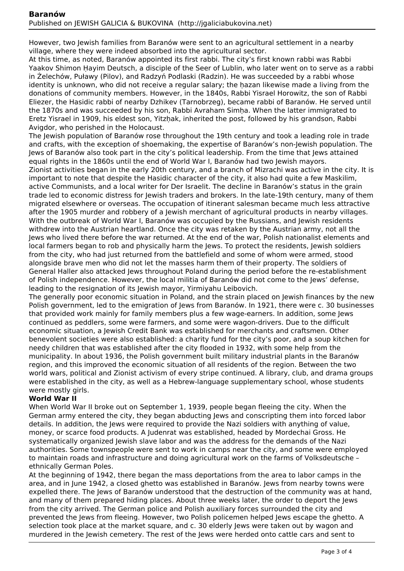However, two Jewish families from Baranów were sent to an agricultural settlement in a nearby village, where they were indeed absorbed into the agricultural sector.

At this time, as noted, Baranów appointed its first rabbi. The city's first known rabbi was Rabbi Yaakov Shimon Ḥayim Deutsch, a disciple of the Seer of Lublin, who later went on to serve as a rabbi in Żelechów, Puławy (Pilov), and Radzyń Podlaski (Radzin). He was succeeded by a rabbi whose identity is unknown, who did not receive a regular salary; the ḥazan likewise made a living from the donations of community members. However, in the 1840s, Rabbi Yisrael Horowitz, the son of Rabbi Eliezer, the Hasidic rabbi of nearby Dzhikev (Tarnobrzeg), became rabbi of Baranów. He served until the 1870s and was succeeded by his son, Rabbi Avraham Simha. When the latter immigrated to Eretz Yisrael in 1909, his eldest son, Yitzhak, inherited the post, followed by his grandson, Rabbi Avigdor, who perished in the Holocaust.

The Jewish population of Baranów rose throughout the 19th century and took a leading role in trade and crafts, with the exception of shoemaking, the expertise of Baranów's non-Jewish population. The Jews of Baranów also took part in the city's political leadership. From the time that Jews attained equal rights in the 1860s until the end of World War I, Baranów had two Jewish mayors.

Zionist activities began in the early 20th century, and a branch of Mizrachi was active in the city. It is important to note that despite the Hasidic character of the city, it also had quite a few Maskilim, active Communists, and a local writer for Der Israelit. The decline in Baranów's status in the grain trade led to economic distress for Jewish traders and brokers. In the late-19th century, many of them migrated elsewhere or overseas. The occupation of itinerant salesman became much less attractive after the 1905 murder and robbery of a Jewish merchant of agricultural products in nearby villages. With the outbreak of World War I, Baranów was occupied by the Russians, and Jewish residents withdrew into the Austrian heartland. Once the city was retaken by the Austrian army, not all the Jews who lived there before the war returned. At the end of the war, Polish nationalist elements and local farmers began to rob and physically harm the Jews. To protect the residents, Jewish soldiers from the city, who had just returned from the battlefield and some of whom were armed, stood alongside brave men who did not let the masses harm them of their property. The soldiers of General Haller also attacked Jews throughout Poland during the period before the re-establishment of Polish independence. However, the local militia of Baranów did not come to the Jews' defense, leading to the resignation of its Jewish mayor, Yirmiyahu Leibovich.

The generally poor economic situation in Poland, and the strain placed on Jewish finances by the new Polish government, led to the emigration of Jews from Baranów. In 1921, there were c. 30 businesses that provided work mainly for family members plus a few wage-earners. In addition, some Jews continued as peddlers, some were farmers, and some were wagon-drivers. Due to the difficult economic situation, a Jewish Credit Bank was established for merchants and craftsmen. Other benevolent societies were also established: a charity fund for the city's poor, and a soup kitchen for needy children that was established after the city flooded in 1932, with some help from the municipality. In about 1936, the Polish government built military industrial plants in the Baranów region, and this improved the economic situation of all residents of the region. Between the two world wars, political and Zionist activism of every stripe continued. A library, club, and drama groups were established in the city, as well as a Hebrew-language supplementary school, whose students were mostly girls.

#### **World War II**

When World War II broke out on September 1, 1939, people began fleeing the city. When the German army entered the city, they began abducting Jews and conscripting them into forced labor details. In addition, the Jews were required to provide the Nazi soldiers with anything of value, money, or scarce food products. A Judenrat was established, headed by Mordechai Gross. He systematically organized Jewish slave labor and was the address for the demands of the Nazi authorities. Some townspeople were sent to work in camps near the city, and some were employed to maintain roads and infrastructure and doing agricultural work on the farms of Volksdeutsche – ethnically German Poles.

At the beginning of 1942, there began the mass deportations from the area to labor camps in the area, and in June 1942, a closed ghetto was established in Baranów. Jews from nearby towns were expelled there. The Jews of Baranów understood that the destruction of the community was at hand, and many of them prepared hiding places. About three weeks later, the order to deport the Jews from the city arrived. The German police and Polish auxiliary forces surrounded the city and prevented the Jews from fleeing. However, two Polish policemen helped Jews escape the ghetto. A selection took place at the market square, and c. 30 elderly Jews were taken out by wagon and murdered in the Jewish cemetery. The rest of the Jews were herded onto cattle cars and sent to